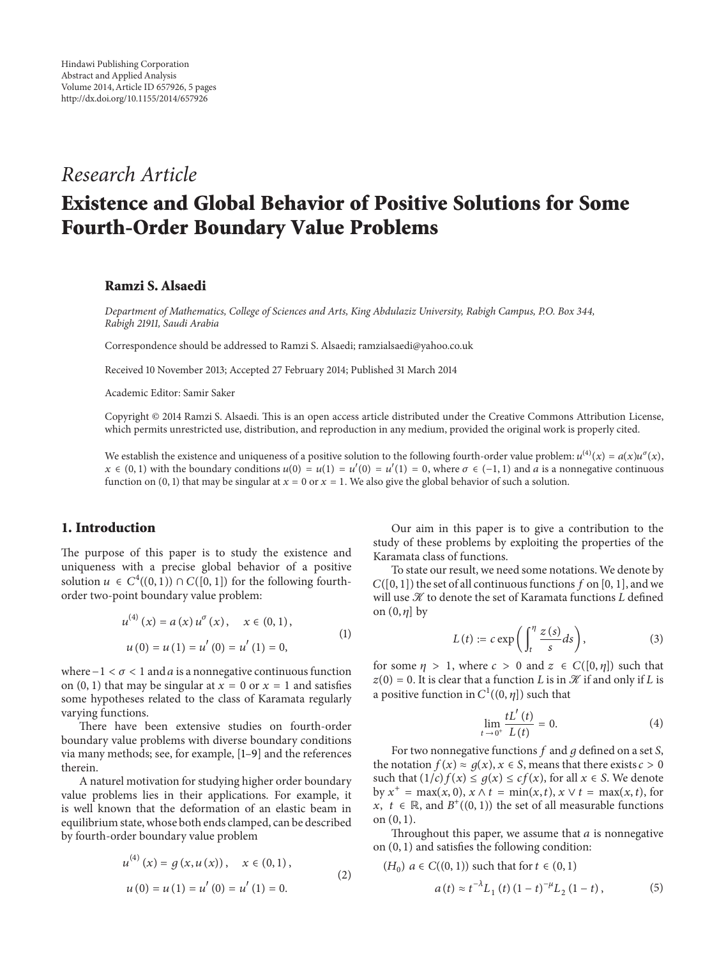# *Research Article*

# **Existence and Global Behavior of Positive Solutions for Some Fourth-Order Boundary Value Problems**

#### **Ramzi S. Alsaedi**

*Department of Mathematics, College of Sciences and Arts, King Abdulaziz University, Rabigh Campus, P.O. Box 344, Rabigh 21911, Saudi Arabia*

Correspondence should be addressed to Ramzi S. Alsaedi; ramzialsaedi@yahoo.co.uk

Received 10 November 2013; Accepted 27 February 2014; Published 31 March 2014

Academic Editor: Samir Saker

Copyright © 2014 Ramzi S. Alsaedi. This is an open access article distributed under the Creative Commons Attribution License, which permits unrestricted use, distribution, and reproduction in any medium, provided the original work is properly cited.

We establish the existence and uniqueness of a positive solution to the following fourth-order value problem:  $u^{(4)}(x) = a(x)u^{\sigma}(x)$ ,  $x \in (0, 1)$  with the boundary conditions  $u(0) = u'(1) = u'(0) = u'(1) = 0$ , where  $\sigma \in (-1, 1)$  and  $\alpha$  is a nonnegative continuous function on (0, 1) that may be singular at  $x = 0$  or  $x = 1$ . We also give the global behavior of such a solution.

## **1. Introduction**

The purpose of this paper is to study the existence and uniqueness with a precise global behavior of a positive solution  $u \in C^4((0, 1)) \cap C([0, 1])$  for the following fourthorder two-point boundary value problem:

$$
u^{(4)}(x) = a(x)u^{\sigma}(x), \quad x \in (0,1),
$$
  

$$
u(0) = u(1) = u'(0) = u'(1) = 0,
$$
 (1)

where  $-1 < \sigma < 1$  and *a* is a nonnegative continuous function on  $(0, 1)$  that may be singular at  $x = 0$  or  $x = 1$  and satisfies some hypotheses related to the class of Karamata regularly varying functions.

There have been extensive studies on fourth-order boundary value problems with diverse boundary conditions via many methods; see, for example, [1–9] and the references therein.

A naturel motivation for studying higher order boundary value problems lies in their applications. For example, it is well known that the deformation of an elastic beam in equilibrium state, whose both ends clamped, can be described by fourth-order boundary value problem

$$
u^{(4)}(x) = g(x, u(x)), \quad x \in (0, 1),
$$
  

$$
u(0) = u(1) = u'(0) = u'(1) = 0.
$$
 (2)

Our aim in this paper is to give a contribution to the study of these problems by exploiting the properties of the Karamata class of functions.

To state our result, we need some notations. We denote by  $C([0, 1])$  the set of all continuous functions f on [0, 1], and we will use  ${\mathcal K}$  to denote the set of Karamata functions  $L$  defined on  $(0, \eta]$  by

$$
L(t) := c \exp\left(\int_{t}^{\eta} \frac{z(s)}{s} ds\right),\tag{3}
$$

for some  $\eta > 1$ , where  $c > 0$  and  $z \in C([0, \eta])$  such that  $z(0) = 0$ . It is clear that a function *L* is in  $\mathcal X$  if and only if *L* is a positive function in  $C^1((0, \eta])$  such that

$$
\lim_{t \to 0^+} \frac{tL'(t)}{L(t)} = 0.
$$
\n(4)

For two nonnegative functions  $f$  and  $g$  defined on a set  $S$ , the notation  $f(x) \approx g(x), x \in S$ , means that there exists  $c > 0$ such that  $(1/c)f(x) \leq g(x) \leq cf(x)$ , for all  $x \in S$ . We denote by  $x^+ = \max(x, 0), x \wedge t = \min(x, t), x \vee t = \max(x, t),$  for  $x, t \in \mathbb{R}$ , and  $B^+((0, 1))$  the set of all measurable functions on (0, 1).

Throughout this paper, we assume that  $a$  is nonnegative on (0, 1) and satisfies the following condition:

$$
(H_0) \ a \in C((0,1)) \text{ such that for } t \in (0,1)
$$
\n
$$
a(t) \approx t^{-\lambda} L_1(t) (1-t)^{-\mu} L_2(1-t), \tag{5}
$$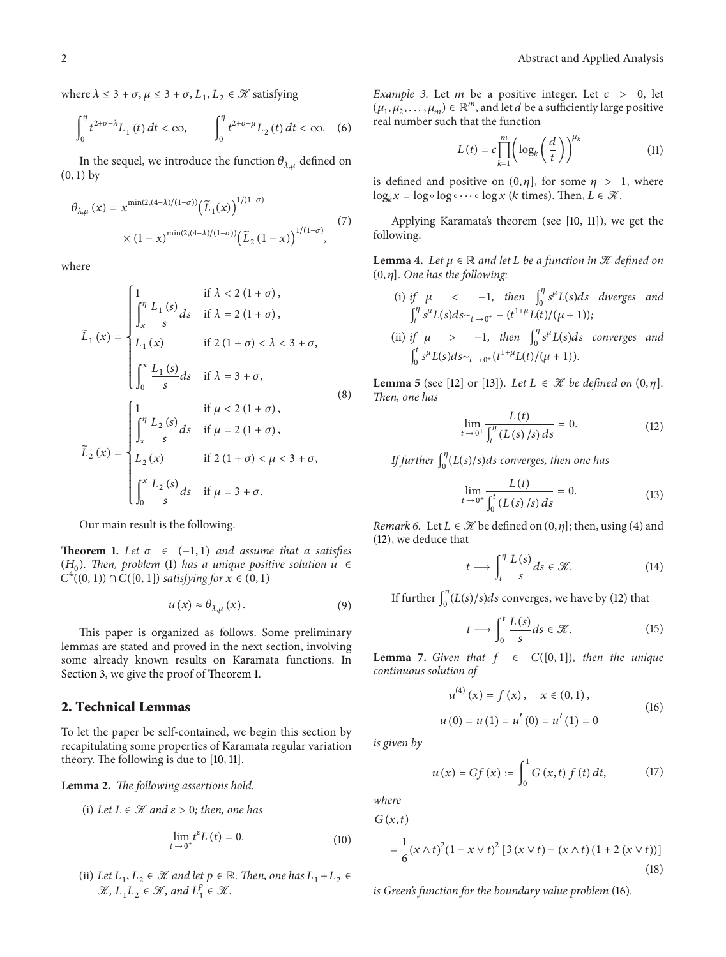where  $\lambda \leq 3+\sigma, \mu \leq 3+\sigma, L_1, L_2 \in \mathcal{K}$  satisfying

$$
\int_0^{\eta} t^{2+\sigma-\lambda} L_1(t) dt < \infty, \qquad \int_0^{\eta} t^{2+\sigma-\mu} L_2(t) dt < \infty.
$$
 (6)

In the sequel, we introduce the function  $\theta_{\lambda,\mu}$  defined on  $(0, 1)$  by

$$
\theta_{\lambda,\mu}(x) = x^{\min(2,(4-\lambda)/(1-\sigma))} \left(\tilde{L}_1(x)\right)^{1/(1-\sigma)} \times (1-x)^{\min(2,(4-\lambda)/(1-\sigma))} \left(\tilde{L}_2(1-x)\right)^{1/(1-\sigma)}, \tag{7}
$$

where

$$
\widetilde{L}_1(x) = \begin{cases}\n\int_x^{\eta} \frac{L_1(s)}{s} ds & \text{if } \lambda < 2(1 + \sigma), \\
\int_x^{\eta} \frac{L_1(s)}{s} ds & \text{if } \lambda = 2(1 + \sigma), \\
L_1(x) & \text{if } 2(1 + \sigma) < \lambda < 3 + \sigma, \\
\int_0^x \frac{L_1(s)}{s} ds & \text{if } \lambda = 3 + \sigma,\n\end{cases}
$$
\n(8)\n
$$
\widetilde{L}_2(x) = \begin{cases}\n\int_x^{\eta} \frac{L_2(s)}{s} ds & \text{if } \mu = 2(1 + \sigma), \\
L_2(x) & \text{if } 2(1 + \sigma) < \mu < 3 + \sigma, \\
\int_0^x \frac{L_2(s)}{s} ds & \text{if } \mu = 3 + \sigma.\n\end{cases}
$$

Our main result is the following.

**Theorem 1.** Let  $\sigma \in (-1, 1)$  and assume that a satisfies  $(H_0)$ . Then, problem (1) has a unique positive solution  $u \in$  $C^{4}((0, 1)) \cap C([0, 1])$  *satisfying for*  $x \in (0, 1)$ 

$$
u\left(x\right) \approx \theta_{\lambda,\mu}\left(x\right). \tag{9}
$$

This paper is organized as follows. Some preliminary lemmas are stated and proved in the next section, involving some already known results on Karamata functions. In Section 3, we give the proof of Theorem 1.

#### **2. Technical Lemmas**

To let the paper be self-contained, we begin this section by recapitulating some properties of Karamata regular variation theory. The following is due to [10, 11].

**Lemma 2.** *The following assertions hold.*

(i) Let 
$$
L \in \mathcal{K}
$$
 and  $\varepsilon > 0$ ; then, one has

$$
\lim_{t \to 0^+} t^{\varepsilon} L(t) = 0. \tag{10}
$$

(ii) *Let*  $L_1, L_2 \in \mathcal{K}$  *and let*  $p \in \mathbb{R}$ *. Then, one has*  $L_1 + L_2 \in$  $\mathcal{K}, L_1L_2 \in \mathcal{K},$  and  $L_1^p \in \mathcal{K}.$ 

*Example 3.* Let  $m$  be a positive integer. Let  $c > 0$ , let  $(\mu_1, \mu_2, \ldots, \mu_m) \in \mathbb{R}^m$ , and let *d* be a sufficiently large positive real number such that the function

$$
L(t) = c \prod_{k=1}^{m} \left( \log_k \left( \frac{d}{t} \right) \right)^{\mu_k} \tag{11}
$$

is defined and positive on  $(0, \eta]$ , for some  $\eta > 1$ , where log<sub>*k*</sub> $x = \log \circ \log \circ \cdots \circ \log x$  (*k* times). Then,  $L \in \mathcal{K}$ .

Applying Karamata's theorem (see [10, 11]), we get the following.

**Lemma 4.** Let  $\mu \in \mathbb{R}$  and let L be a function in  $\mathcal{K}$  defined on  $(0, \eta]$ *. One has the following:* 

- (i) if  $\mu$  < -1, then  $\int_0^{\eta} s^{\mu} L(s) ds$  diverges and  $\int_t^{\eta} s^{\mu} L(s) ds \sim_{t \to 0^+} -(t^{1+\mu} L(t)/(\mu + 1));$
- (ii) *if*  $\mu$  > -1*, then*  $\int_0^{\eta} s^{\mu} L(s) ds$  converges and  $\int_0^t s^{\mu} L(s) ds \sim_{t \to 0^+} (t^{1+\mu} L(t) / (\mu + 1)).$

**Lemma 5** (see [12] or [13]). Let  $L \in \mathcal{K}$  be defined on  $(0, \eta]$ . *Then, one has*

$$
\lim_{t \to 0^+} \frac{L(t)}{\int_t^{\eta} (L(s)/s) \, ds} = 0. \tag{12}
$$

*If further*  $\int_0^{\eta} (L(s)/s) ds$  converges, then one has

 $\bar{t}$ 

$$
\lim_{\delta \to 0^+} \frac{L(t)}{\int_0^t (L(s)/s) \, ds} = 0. \tag{13}
$$

*Remark 6.* Let  $L \in \mathcal{K}$  be defined on  $(0, \eta]$ ; then, using (4) and (12), we deduce that

$$
t \longrightarrow \int_{t}^{\eta} \frac{L(s)}{s} ds \in \mathcal{K}.
$$
 (14)

If further  $\int_0^{\eta} (L(s)/s) ds$  converges, we have by (12) that

$$
t \longrightarrow \int_0^t \frac{L(s)}{s} ds \in \mathcal{K}.
$$
 (15)

**Lemma 7.** *Given that*  $f \in C([0,1])$ *, then the unique continuous solution of*

$$
u^{(4)}(x) = f(x), \quad x \in (0, 1),
$$
  

$$
u(0) = u(1) = u'(0) = u'(1) = 0
$$
 (16)

*is given by*

$$
u(x) = Gf(x) := \int_0^1 G(x, t) f(t) dt,
$$
 (17)

*where*

 $G(x, t)$ 

$$
= \frac{1}{6} (x \wedge t)^2 (1 - x \vee t)^2 [3 (x \vee t) - (x \wedge t) (1 + 2 (x \vee t))]
$$
\n(18)

*is Green's function for the boundary value problem* (16)*.*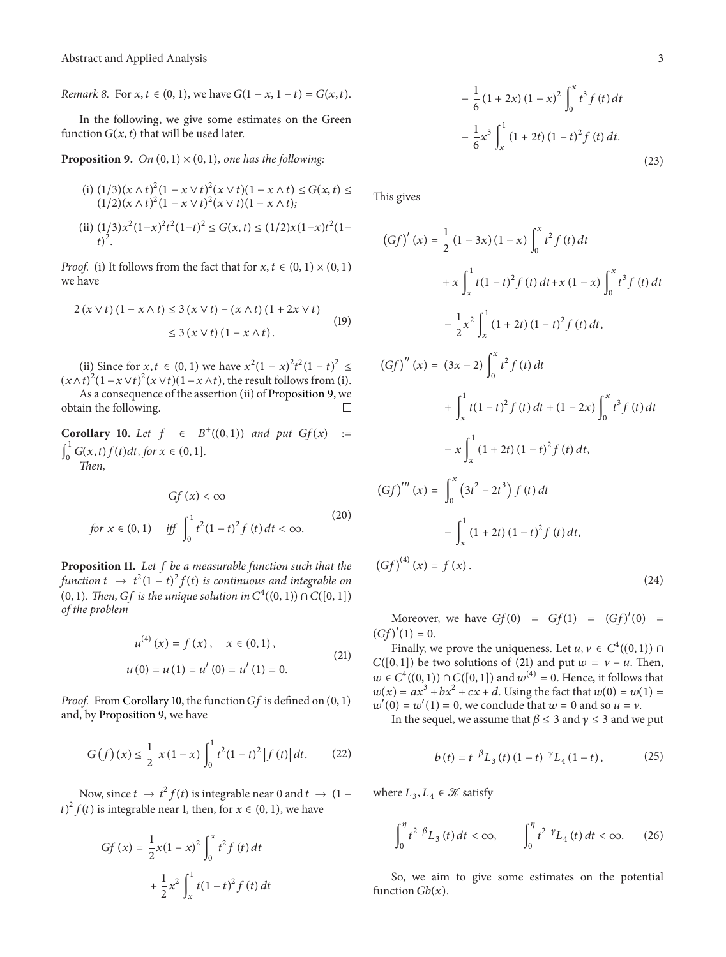*Remark 8.* For  $x, t \in (0, 1)$ , we have  $G(1 - x, 1 - t) = G(x, t)$ .

In the following, we give some estimates on the Green function  $G(x, t)$  that will be used later.

**Proposition 9.** *On*  $(0, 1) \times (0, 1)$ *, one has the following:* 

(i) 
$$
(1/3)(x \wedge t)^2 (1 - x \vee t)^2 (x \vee t) (1 - x \wedge t) \le G(x, t) \le
$$
  
\n $(1/2)(x \wedge t)^2 (1 - x \vee t)^2 (x \vee t) (1 - x \wedge t);$   
\n(ii)  $(1/3)x^2 (1-x)^2 t^2 (1-t)^2 \le G(x, t) \le (1/2)x(1-x)t^2 (1-t)^2.$ 

*Proof.* (i) It follows from the fact that for  $x, t \in (0, 1) \times (0, 1)$ we have

$$
2 (x \vee t) (1 - x \wedge t) \le 3 (x \vee t) - (x \wedge t) (1 + 2x \vee t)
$$
  

$$
\le 3 (x \vee t) (1 - x \wedge t).
$$
 (19)

(ii) Since for *x*, *t* ∈ (0, 1) we have  $x^2(1 - x)^2t^2(1 - t)^2$  ≤  $(x \wedge t)^2 (1 - x \vee t)^2 (x \vee t) (1 - x \wedge t)$ , the result follows from (i). As a consequence of the assertion (ii) of Proposition 9, we obtain the following.  $\Box$ 

**Corollary 10.** *Let*  $f \in B^+((0, 1))$  *and put*  $Gf(x) :=$  $\int_0^1 G(x, t) f(t) dt$ , for  $x \in (0, 1]$ .

*Then,*

$$
Gf(x) < \infty
$$
  
for  $x \in (0, 1)$  iff  $\int_0^1 t^2 (1 - t)^2 f(t) dt < \infty$ . (20)

**Proposition 11.** *Let be a measurable function such that the* function  $t \rightarrow t^2(1-t)^2 f(t)$  is continuous and integrable on (0, 1). Then, *Gf* is the unique solution in  $C^4((0, 1)) \cap C([0, 1])$ *of the problem*

$$
u^{(4)}(x) = f(x), \quad x \in (0, 1),
$$
  

$$
u(0) = u(1) = u'(0) = u'(1) = 0.
$$
 (21)

*Proof.* From Corollary 10, the function  $Gf$  is defined on  $(0, 1)$ and, by Proposition 9, we have

$$
G(f)(x) \le \frac{1}{2} x (1-x) \int_0^1 t^2 (1-t)^2 |f(t)| dt. \qquad (22)
$$

Now, since  $t \to t^2 f(t)$  is integrable near 0 and  $t \to (1 - t^2 f(t))$  $(t)^2 f(t)$  is integrable near 1, then, for  $x \in (0, 1)$ , we have

$$
Gf(x) = \frac{1}{2}x(1-x)^2 \int_0^x t^2 f(t) dt
$$

$$
+ \frac{1}{2}x^2 \int_x^1 t(1-t)^2 f(t) dt
$$

$$
-\frac{1}{6}(1+2x)(1-x)^{2}\int_{0}^{x}t^{3}f(t)dt
$$

$$
-\frac{1}{6}x^{3}\int_{x}^{1}(1+2t)(1-t)^{2}f(t)dt.
$$
\n(23)

This gives

$$
(Gf)'(x) = \frac{1}{2} (1 - 3x) (1 - x) \int_0^x t^2 f(t) dt
$$
  
+  $x \int_x^1 t(1 - t)^2 f(t) dt + x (1 - x) \int_0^x t^3 f(t) dt$   
-  $\frac{1}{2} x^2 \int_x^1 (1 + 2t) (1 - t)^2 f(t) dt$ ,  

$$
(Gf)''(x) = (3x - 2) \int_0^x t^2 f(t) dt
$$
  
+  $\int_x^1 t(1 - t)^2 f(t) dt + (1 - 2x) \int_0^x t^3 f(t) dt$   
-  $x \int_x^1 (1 + 2t) (1 - t)^2 f(t) dt$ ,  

$$
(Gf)'''(x) = \int_0^x (3t^2 - 2t^3) f(t) dt
$$
  
-  $\int_x^1 (1 + 2t) (1 - t)^2 f(t) dt$ ,  

$$
(Gf)^{(4)}(x) = f(x).
$$
 (24)

Moreover, we have  $Gf(0) = Gf(1) = (Gf)'(0) =$  $(Gf)'(1) = 0.$ 

Finally, we prove the uniqueness. Let  $u, v \in C^4((0, 1))$   $\cap$  $C([0, 1])$  be two solutions of (21) and put  $w = v - u$ . Then,  $w \in C^4((0, 1)) \cap C([0, 1])$  and  $w^{(4)} = 0$ . Hence, it follows that  $w(x) = ax^{3} + bx^{2} + cx + d$ . Using the fact that  $w(0) = w(1) =$  $w'(0) = w'(1) = 0$ , we conclude that  $w = 0$  and so  $u = v$ .

In the sequel, we assume that  $\beta \leq 3$  and  $\gamma \leq 3$  and we put

$$
b(t) = t^{-\beta} L_3(t) (1-t)^{-\gamma} L_4(1-t), \qquad (25)
$$

where  $L_3, L_4 \in \mathcal{K}$  satisfy

$$
\int_0^{\eta} t^{2-\beta} L_3(t) dt < \infty, \qquad \int_0^{\eta} t^{2-\gamma} L_4(t) dt < \infty.
$$
 (26)

So, we aim to give some estimates on the potential function  $Gb(x)$ .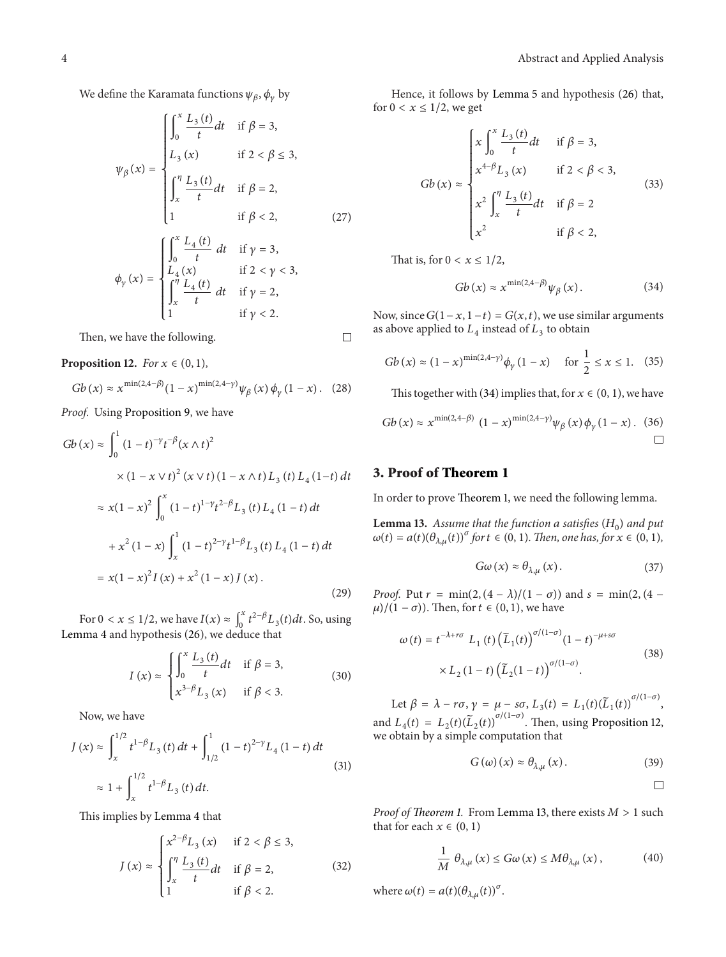We define the Karamata functions  $\psi_{\beta}$ ,  $\phi_{\nu}$  by

$$
\psi_{\beta}(x) = \begin{cases}\n\int_{0}^{x} \frac{L_{3}(t)}{t} dt & \text{if } \beta = 3, \\
L_{3}(x) & \text{if } 2 < \beta \le 3, \\
\int_{x}^{\eta} \frac{L_{3}(t)}{t} dt & \text{if } \beta = 2, \\
1 & \text{if } \beta < 2, \\
\end{cases}
$$
\n
$$
\phi_{\gamma}(x) = \begin{cases}\n\int_{0}^{x} \frac{L_{4}(t)}{t} dt & \text{if } \gamma = 3, \\
\int_{x}^{\eta} \frac{L_{4}(t)}{t} dt & \text{if } 2 < \gamma < 3, \\
\int_{x}^{\eta} \frac{L_{4}(t)}{t} dt & \text{if } \gamma = 2, \\
1 & \text{if } \gamma < 2.\n\end{cases}
$$

Then, we have the following.

 $\Box$ 

**Proposition 12.** For 
$$
x \in (0, 1)
$$
,

$$
Gb(x) \approx x^{\min(2, 4-\beta)} (1-x)^{\min(2, 4-\gamma)} \psi_{\beta}(x) \phi_{\gamma}(1-x). \quad (28)
$$

*Proof.* Using Proposition 9, we have

$$
Gb(x) \approx \int_0^1 (1-t)^{-\gamma} t^{-\beta} (x \wedge t)^2
$$
  
 
$$
\times (1-x \vee t)^2 (x \vee t) (1-x \wedge t) L_3(t) L_4 (1-t) dt
$$
  
 
$$
\approx x(1-x)^2 \int_0^x (1-t)^{1-\gamma} t^{2-\beta} L_3(t) L_4 (1-t) dt
$$
  
 
$$
+ x^2 (1-x) \int_x^1 (1-t)^{2-\gamma} t^{1-\beta} L_3(t) L_4 (1-t) dt
$$
  
 
$$
= x(1-x)^2 I(x) + x^2 (1-x) J(x).
$$
 (29)

For  $0 < x \le 1/2$ , we have  $I(x) \approx \int_0^x t^{2-\beta} L_3(t) dt$ . So, using Lemma 4 and hypothesis (26), we deduce that

$$
I(x) \approx \begin{cases} \int_0^x \frac{L_3(t)}{t} dt & \text{if } \beta = 3, \\ x^{3-\beta} L_3(x) & \text{if } \beta < 3. \end{cases}
$$
 (30)

Now, we have

$$
J(x) \approx \int_{x}^{1/2} t^{1-\beta} L_3(t) dt + \int_{1/2}^{1} (1-t)^{2-\gamma} L_4(1-t) dt
$$
  

$$
\approx 1 + \int_{x}^{1/2} t^{1-\beta} L_3(t) dt.
$$
 (31)

This implies by Lemma 4 that

$$
J(x) \approx \begin{cases} x^{2-\beta}L_3(x) & \text{if } 2 < \beta \le 3, \\ \int_x^{\eta} \frac{L_3(t)}{t} dt & \text{if } \beta = 2, \\ 1 & \text{if } \beta < 2. \end{cases}
$$
 (32)

Hence, it follows by Lemma 5 and hypothesis (26) that, for  $0 < x \leq 1/2$ , we get

$$
Gb(x) \approx \begin{cases} x \int_0^x \frac{L_3(t)}{t} dt & \text{if } \beta = 3, \\ x^{4-\beta} L_3(x) & \text{if } 2 < \beta < 3, \\ x^2 \int_x^{\eta} \frac{L_3(t)}{t} dt & \text{if } \beta = 2 \\ x^2 & \text{if } \beta < 2, \end{cases}
$$
(33)

That is, for  $0 < x \leq 1/2$ ,

$$
Gb\left(x\right) \approx x^{\min\left(2,4-\beta\right)} \psi_{\beta}\left(x\right). \tag{34}
$$

Now, since  $G(1 - x, 1 - t) = G(x, t)$ , we use similar arguments as above applied to  $L_4$  instead of  $L_3$  to obtain

$$
Gb(x) \approx (1-x)^{\min(2,4-\gamma)} \phi_{\gamma} (1-x) \quad \text{for } \frac{1}{2} \le x \le 1. \tag{35}
$$

This together with (34) implies that, for  $x \in (0, 1)$ , we have

$$
Gb(x) \approx x^{\min(2, 4-\beta)} (1-x)^{\min(2, 4-\gamma)} \psi_{\beta}(x) \phi_{\gamma}(1-x). \quad (36)
$$

## **3. Proof of Theorem 1**

In order to prove Theorem 1, we need the following lemma.

**Lemma 13.** Assume that the function a satisfies  $(H_0)$  and put  $\omega(t) = a(t)(\theta_{\lambda,\mu}(t))^{\sigma}$  for  $t \in (0,1)$ *. Then, one has, for*  $x \in (0,1)$ *,* 

$$
G\omega\left(x\right) \approx \theta_{\lambda,\mu}\left(x\right). \tag{37}
$$

*Proof.* Put  $r = \min(2, (4 - \lambda)/(1 - \sigma))$  and  $s = \min(2, (4 - \lambda))$  $\mu$ /(1 –  $\sigma$ )). Then, for  $t \in (0, 1)$ , we have

$$
\omega(t) = t^{-\lambda + r\sigma} L_1(t) \left(\tilde{L}_1(t)\right)^{\sigma/(1-\sigma)} (1-t)^{-\mu + s\sigma}
$$
  
 
$$
\times L_2 (1-t) \left(\tilde{L}_2(1-t)\right)^{\sigma/(1-\sigma)}.
$$
 (38)

Let  $\beta = \lambda - r\sigma$ ,  $\gamma = \mu - s\sigma$ ,  $L_3(t) = L_1(t)(\tilde{L}_1(t))^{\sigma/(1-\sigma)}$ , and  $L_4(t) = L_2(t)(\tilde{L}_2(t))^{\sigma/(1-\sigma)}$ . Then, using Proposition 12, we obtain by a simple computation that

$$
G\left(\omega\right)\left(x\right) \approx \theta_{\lambda,\mu}\left(x\right). \tag{39}
$$

$$
\qquad \qquad \Box
$$

*Proof of Theorem 1.* From Lemma 13, there exists  $M > 1$  such that for each  $x \in (0, 1)$ 

$$
\frac{1}{M} \theta_{\lambda,\mu}(x) \le G\omega(x) \le M\theta_{\lambda,\mu}(x), \tag{40}
$$

where  $\omega(t) = a(t) (\theta_{\lambda,\mu}(t))^{\sigma}$ .